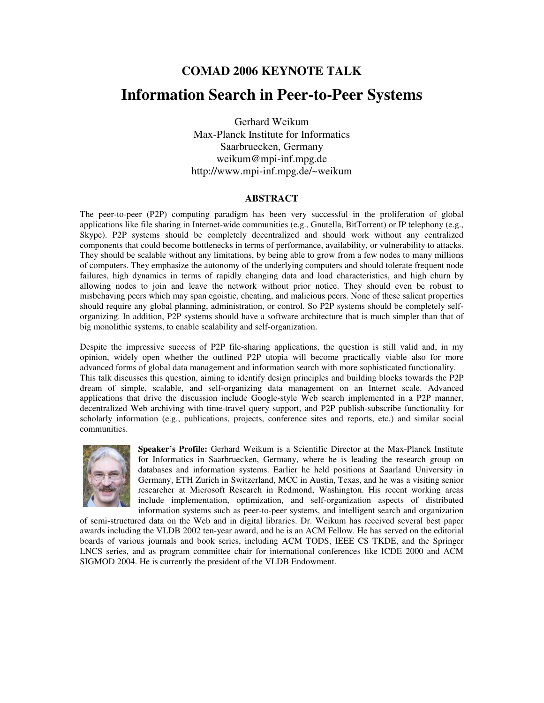# **COMAD 2006 KEYNOTE TALK Information Search in Peer-to-Peer Systems**

Gerhard Weikum Max-Planck Institute for Informatics Saarbruecken, Germany weikum@mpi-inf.mpg.de http://www.mpi-inf.mpg.de/~weikum

#### **ABSTRACT**

The peer-to-peer (P2P) computing paradigm has been very successful in the proliferation of global applications like file sharing in Internet-wide communities (e.g., Gnutella, BitTorrent) or IP telephony (e.g., Skype). P2P systems should be completely decentralized and should work without any centralized components that could become bottlenecks in terms of performance, availability, or vulnerability to attacks. They should be scalable without any limitations, by being able to grow from a few nodes to many millions of computers. They emphasize the autonomy of the underlying computers and should tolerate frequent node failures, high dynamics in terms of rapidly changing data and load characteristics, and high churn by allowing nodes to join and leave the network without prior notice. They should even be robust to misbehaving peers which may span egoistic, cheating, and malicious peers. None of these salient properties should require any global planning, administration, or control. So P2P systems should be completely selforganizing. In addition, P2P systems should have a software architecture that is much simpler than that of big monolithic systems, to enable scalability and self-organization.

Despite the impressive success of P2P file-sharing applications, the question is still valid and, in my opinion, widely open whether the outlined P2P utopia will become practically viable also for more advanced forms of global data management and information search with more sophisticated functionality. This talk discusses this question, aiming to identify design principles and building blocks towards the P2P dream of simple, scalable, and self-organizing data management on an Internet scale. Advanced applications that drive the discussion include Google-style Web search implemented in a P2P manner, decentralized Web archiving with time-travel query support, and P2P publish-subscribe functionality for scholarly information (e.g., publications, projects, conference sites and reports, etc.) and similar social communities.



**Speaker's Profile:** Gerhard Weikum is a Scientific Director at the Max-Planck Institute for Informatics in Saarbruecken, Germany, where he is leading the research group on databases and information systems. Earlier he held positions at Saarland University in Germany, ETH Zurich in Switzerland, MCC in Austin, Texas, and he was a visiting senior researcher at Microsoft Research in Redmond, Washington. His recent working areas include implementation, optimization, and self-organization aspects of distributed information systems such as peer-to-peer systems, and intelligent search and organization

of semi-structured data on the Web and in digital libraries. Dr. Weikum has received several best paper awards including the VLDB 2002 ten-year award, and he is an ACM Fellow. He has served on the editorial boards of various journals and book series, including ACM TODS, IEEE CS TKDE, and the Springer LNCS series, and as program committee chair for international conferences like ICDE 2000 and ACM SIGMOD 2004. He is currently the president of the VLDB Endowment.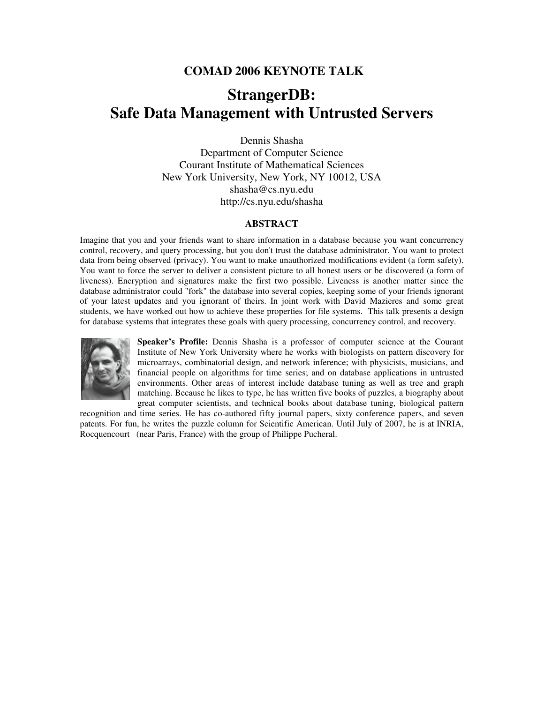### **COMAD 2006 KEYNOTE TALK**

## **StrangerDB: Safe Data Management with Untrusted Servers**

Dennis Shasha

Department of Computer Science Courant Institute of Mathematical Sciences New York University, New York, NY 10012, USA shasha@cs.nyu.edu http://cs.nyu.edu/shasha

### **ABSTRACT**

Imagine that you and your friends want to share information in a database because you want concurrency control, recovery, and query processing, but you don't trust the database administrator. You want to protect data from being observed (privacy). You want to make unauthorized modifications evident (a form safety). You want to force the server to deliver a consistent picture to all honest users or be discovered (a form of liveness). Encryption and signatures make the first two possible. Liveness is another matter since the database administrator could "fork" the database into several copies, keeping some of your friends ignorant of your latest updates and you ignorant of theirs. In joint work with David Mazieres and some great students, we have worked out how to achieve these properties for file systems. This talk presents a design for database systems that integrates these goals with query processing, concurrency control, and recovery.



**Speaker's Profile:** Dennis Shasha is a professor of computer science at the Courant Institute of New York University where he works with biologists on pattern discovery for microarrays, combinatorial design, and network inference; with physicists, musicians, and financial people on algorithms for time series; and on database applications in untrusted environments. Other areas of interest include database tuning as well as tree and graph matching. Because he likes to type, he has written five books of puzzles, a biography about great computer scientists, and technical books about database tuning, biological pattern

recognition and time series. He has co-authored fifty journal papers, sixty conference papers, and seven patents. For fun, he writes the puzzle column for Scientific American. Until July of 2007, he is at INRIA, Rocquencourt (near Paris, France) with the group of Philippe Pucheral.